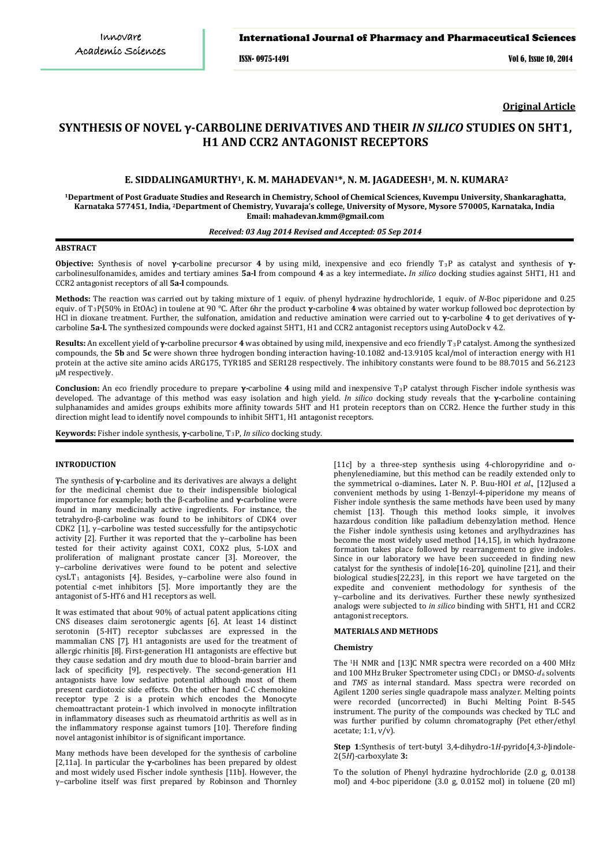## International Journal of Pharmacy and Pharmaceutical Sciences

ISSN- 0975-1491 Vol 6, Issue 10, 2014

**Original Article**

# **SYNTHESIS OF NOVEL γ-CARBOLINE DERIVATIVES AND THEIR** *IN SILICO* **STUDIES ON 5HT1, H1 AND CCR2 ANTAGONIST RECEPTORS**

## **E. SIDDALINGAMURTHY1, K. M. MAHADEVAN1\*, N. M. JAGADEESH1, M. N. KUMARA<sup>2</sup>**

**<sup>1</sup>Department of Post Graduate Studies and Research in Chemistry, School of Chemical Sciences, Kuvempu University, Shankaraghatta, Karnataka 577451, India, <sup>2</sup>Department of Chemistry, Yuvaraja's college, University of Mysore, Mysore 570005, Karnataka, India Email: mahadevan.kmm@gmail.com**

## *Received: 03 Aug 2014 Revised and Accepted: 05 Sep 2014*

#### **ABSTRACT**

**Objective:** Synthesis of novel **γ-**carboline precursor **4** by using mild, inexpensive and eco friendly T3 P as catalyst and synthesis of **γ**carbolinesulfonamides, amides and tertiary amines **5a-l** from compound **4** as a key intermediate**.** *In silico* docking studies against 5HT1, H1 and CCR2 antagonist receptors of all **5a-l** compounds.

**Methods:** The reaction was carried out by taking mixture of 1 equiv. of phenyl hydrazine hydrochloride, 1 equiv. of *N*-Boc piperidone and 0.25 equiv. of T 3 P(50% in EtOAc) in toulene at 90 °C. After 6hr the product **γ-**carboline **4** was obtained by water workup followed boc deprotection by HCl in dioxane treatment. Further, the sulfonation, amidation and reductive amination were carried out to **γ-**carboline **4** to get derivatives of **γ**carboline **5a-l.** The synthesized compounds were docked against 5HT1, H1 and CCR2 antagonist receptors using AutoDock v 4.2.

**Results:** An excellent yield of **γ-**carboline precursor **4** was obtained by using mild, inexpensive and eco friendly T 3 P catalyst. Among the synthesized compounds, the **5b** and **5c** were shown three hydrogen bonding interaction having-10.1082 and-13.9105 kcal/mol of interaction energy with H1 protein at the active site amino acids ARG175, TYR185 and SER128 respectively. The inhibitory constants were found to be 88.7015 and 56.2123 µM respectively.

**Conclusion:** An eco friendly procedure to prepare **γ-**carboline **4** using mild and inexpensive T 3 P catalyst through Fischer indole synthesis was developed. The advantage of this method was easy isolation and high yield. *In silico* docking study reveals that the **γ-**carboline containing sulphanamides and amides groups exhibits more affinity towards 5HT and H1 protein receptors than on CCR2. Hence the further study in this direction might lead to identify novel compounds to inhibit 5HT1, H1 antagonist receptors.

**Keywords:** Fisher indole synthesis, **γ-**carboline, T 3P, *In silico* docking study.

#### **INTRODUCTION**

The synthesis of **γ-**carboline and its derivatives are always a delight for the medicinal chemist due to their indispensible biological importance for example; both the β-carboline and **γ-**carboline were found in many medicinally active ingredients. For instance, the tetrahydro-β-carboline was found to be inhibitors of CDK4 over CDK2  $[1]$ ,  $y$ -carboline was tested successfully for the antipsychotic activity [2]. Further it was reported that the  $\gamma$ -carboline has been tested for their activity against COX1, COX2 plus, 5-LOX and proliferation of malignant prostate cancer [3]. Moreover, the γ‒carboline derivatives were found to be potent and selective  $cystT<sub>1</sub>$  antagonists [4]. Besides, γ–carboline were also found in potential c-met inhibitors [5]. More importantly they are the antagonist of 5-HT6 and H1 receptors as well.

It was estimated that about 90% of actual patent applications citing CNS diseases claim serotonergic agents [6]. At least 14 distinct serotonin (5-HT) receptor subclasses are expressed in the mammalian CNS [7]. H1 antagonists are used for the treatment of allergic rhinitis [8]. First-generation H1 antagonists are effective but they cause sedation and dry mouth due to blood–brain barrier and lack of specificity [9], respectively. The second-generation H1 antagonists have low sedative potential although most of them present cardiotoxic side effects. On the other hand C-C chemokine receptor type 2 is a protein which encodes the Monocyte chemoattractant protein-1 which involved in monocyte infiltration in inflammatory diseases such as [rheumatoid arthritis](http://en.wikipedia.org/wiki/Rheumatoid_arthritis) as well as in the inflammatory response against tumors [10]. Therefore finding novel antagonist inhibitor is of significant importance.

Many methods have been developed for the synthesis of carboline [2,11a]. In particular the **γ-**carbolines has been prepared by oldest and most widely used Fischer indole synthesis [11b]. However, the γ‒carboline itself was first prepared by Robinson and Thornley [11c] by a three-step synthesis using 4-chloropyridine and ophenylenediamine, but this method can be readily extended only to the symmetrical o-diamines**.** Later N. P. Buu-HOI *et al*., [12]used a convenient methods by using 1-Benzyl-4-piperidone my means of Fisher indole synthesis the same methods have been used by many chemist [13]. Though this method looks simple, it involves hazardous condition like palladium debenzylation method. Hence the Fisher indole synthesis using ketones and arylhydrazines has become the most widely used method [14,15], in which hydrazone formation takes place followed by rearrangement to give indoles. Since in our laboratory we have been succeeded in finding new catalyst for the synthesis of indole[16-20], quinoline [21], and their biological studies[22,23], in this report we have targeted on the expedite and convenient methodology for synthesis of the γ‒carboline and its derivatives. Further these newly synthesized analogs were subjected to *in silico* binding with 5HT1, H1 and CCR2 antagonist receptors.

## **MATERIALS AND METHODS**

#### **Chemistry**

The 1H NMR and [13]C NMR spectra were recorded on a 400 MHz and 100 MHz Bruker Spectrometer using CDCl<sub>3</sub> or DMSO- $d_6$  solvents and *TMS* as internal standard. Mass spectra were recorded on Agilent 1200 series single quadrapole mass analyzer. Melting points were recorded (uncorrected) in Buchi Melting Point B-545 instrument. The purity of the compounds was checked by TLC and was further purified by column chromatography (Pet ether/ethyl acetate; 1:1, v/v).

**Step 1**:Synthesis of tert-butyl 3,4-dihydro-1*H*-pyrido[4,3-*b*]indole-2(5*H*)-carboxylate **3:**

To the solution of Phenyl hydrazine hydrochloride (2.0 g, 0.0138 mol) and 4-boc piperidone (3.0 g, 0.0152 mol) in toluene (20 ml)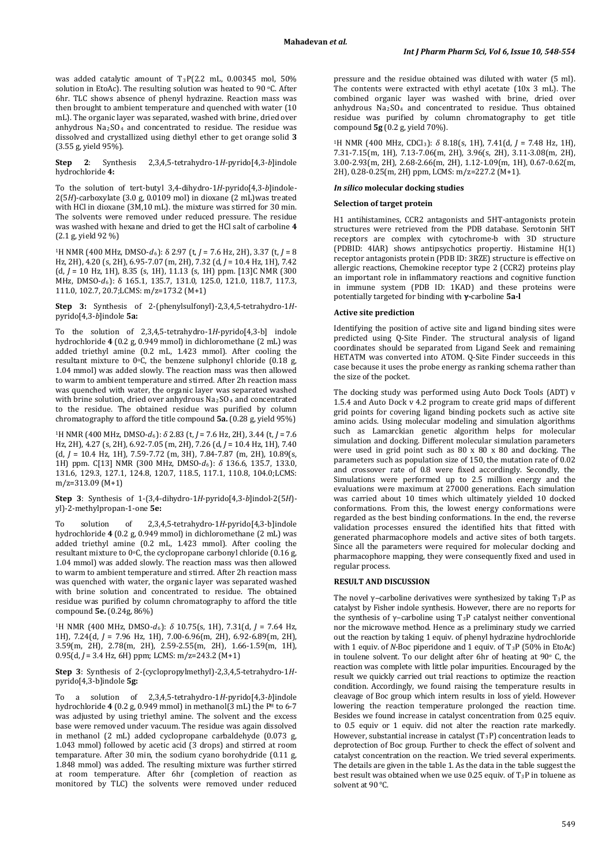was added catalytic amount of T3P(2.2 mL, 0.00345 mol, 50% solution in EtoAc). The resulting solution was heated to 90 °C. After 6hr. TLC shows absence of phenyl hydrazine. Reaction mass was then brought to ambient temperature and quenched with water (10 mL). The organic layer was separated, washed with brine, dried over anhydrous  $Na<sub>2</sub>SO<sub>4</sub>$  and concentrated to residue. The residue was dissolved and crystallized using diethyl ether to get orange solid **3** (3.55 g, yield 95%).

**Step 2**: Synthesis 2,3,4,5-tetrahydro-1*H*-pyrido[4,3-*b*]indole hydrochloride **4:**

To the solution of tert-butyl 3,4-dihydro-1*H*-pyrido[4,3-*b*]indole-2(5*H*)-carboxylate (3.0 g, 0.0109 mol) in dioxane (2 mL)was treated with HCl in dioxane (3M,10 mL). the mixture was stirred for 30 min. The solvents were removed under reduced pressure. The residue was washed with hexane and dried to get the HCl salt of carboline **4**  (2.1 g, yield 92 %)

1H NMR (400 MHz, DMSO-*d*6): δ 2.97 (t, *J* = 7.6 Hz, 2H), 3.37 (t, *J* = 8 Hz, 2H), 4.20 (s, 2H), 6.95-7.07 (m, 2H), 7.32 (d, *J* = 10.4 Hz, 1H), 7.42  $(d, J = 10$  Hz, 1H), 8.35 (s, 1H), 11.13 (s, 1H) ppm. [13]C NMR (300 MHz, DMSO-*d*6): δ 165.1, 135.7, 131.0, 125.0, 121.0, 118.7, 117.3, 111.0, 102.7, 20.7;LCMS: m/z=173.2 (M+1)

**Step 3:** Synthesis of 2-(phenylsulfonyl)-2,3,4,5-tetrahydro-1*H*pyrido[4,3-*b*]indole **5a:**

To the solution of 2,3,4,5-tetrahydro-1*H*-pyrido[4,3-b] indole hydrochloride **4** (0.2 g, 0.949 mmol) in dichloromethane (2 mL) was added triethyl amine (0.2 mL, 1.423 mmol). After cooling the resultant mixture to  $0^{\circ}$ C, the benzene sulphonyl chloride (0.18 g, 1.04 mmol) was added slowly. The reaction mass was then allowed to warm to ambient temperature and stirred. After 2h reaction mass was quenched with water, the organic layer was separated washed with brine solution, dried over anhydrous Na<sub>2</sub>SO<sub>4</sub> and concentrated to the residue. The obtained residue was purified by column chromatography to afford the title compound **5a.** (0.28 g, yield 95%)

1H NMR (400 MHz, DMSO-*d*6): *δ* 2.83 (t, *J* = 7.6 Hz, 2H), 3.44 (t, *J* = 7.6 Hz, 2H), 4.27 (s, 2H), 6.92-7.05 (m, 2H), 7.26 (d, *J* = 10.4 Hz, 1H), 7.40 (d, *J* = 10.4 Hz, 1H), 7.59-7.72 (m, 3H), 7.84-7.87 (m, 2H), 10.89(s, 1H) ppm. C[13] NMR (300 MHz, DMSO-*d*6): *δ* 136.6, 135.7, 133.0, 131.6, 129.3, 127.1, 124.8, 120.7, 118.5, 117.1, 110.8, 104.0;LCMS: m/z=313.09 (M+1)

**Step 3**: Synthesis of 1-(3,4-dihydro-1*H*-pyrido[4,3-*b*]indol-2(5*H*) yl)-2-methylpropan-1-one **5e:**

To solution of 2,3,4,5-tetrahydro-1*H*-pyrido[4,3-b]indole hydrochloride **4** (0.2 g, 0.949 mmol) in dichloromethane (2 mL) was added triethyl amine (0.2 mL, 1.423 mmol). After cooling the resultant mixture to 0°C, the cyclopropane carbonyl chloride (0.16 g, 1.04 mmol) was added slowly. The reaction mass was then allowed to warm to ambient temperature and stirred. After 2h reaction mass was quenched with water, the organic layer was separated washed with brine solution and concentrated to residue. The obtained residue was purified by column chromatography to afford the title compound **5e.** (0.24g, 86%)

1H NMR (400 MHz, DMSO-*d*<sup>6</sup> ): *δ* 10.75(s, 1H), 7.31(d, *J* = 7.64 Hz, 1H), 7.24(d, *J* = 7.96 Hz, 1H), 7.00-6.96(m, 2H), 6.92-6.89(m, 2H), 3.59(m, 2H), 2.78(m, 2H), 2.59-2.55(m, 2H), 1.66-1.59(m, 1H), 0.95(d, *J* = 3.4 Hz, 6H) ppm; LCMS: m/z=243.2 (M+1)

**Step 3**: Synthesis of 2-(cyclopropylmethyl)-2,3,4,5-tetrahydro-1*H*pyrido[4,3-b]indole **5g:**

To a solution of 2,3,4,5-tetrahydro-1*H*-pyrido[4,3-*b*]indole hydrochloride **4** (0.2 g, 0.949 mmol) in methanol(3 mL) the P <sup>H</sup> to 6-7 was adjusted by using triethyl amine. The solvent and the excess base were removed under vacuum. The residue was again dissolved in methanol (2 mL) added cyclopropane carbaldehyde (0.073 g, 1.043 mmol) followed by acetic acid (3 drops) and stirred at room temparature. After 30 min, the sodium cyano borohydride (0.11 g, 1.848 mmol) was added. The resulting mixture was further stirred at room temperature. After 6hr (completion of reaction as monitored by TLC) the solvents were removed under reduced

pressure and the residue obtained was diluted with water (5 ml). The contents were extracted with ethyl acetate (10x 3 mL). The combined organic layer was washed with brine, dried over anhydrous Na2SO4 and concentrated to residue. Thus obtained residue was purified by column chromatography to get title compound **5g** (0.2 g, yield 70%).

1H NMR (400 MHz, CDCl3 ): *δ* 8.18(s, 1H), 7.41(d, *J* = 7.48 Hz, 1H), 7.31-7.15(m, 1H), 7.13-7.06(m, 2H), 3.96(s, 2H), 3.11-3.08(m, 2H), 3.00-2.93(m, 2H), 2.68-2.66(m, 2H), 1.12-1.09(m, 1H), 0.67-0.62(m, 2H), 0.28-0.25(m, 2H) ppm, LCMS: m/z=227.2 (M+1).

## *In silico* **molecular docking studies**

#### **Selection of target protein**

H1 antihistamines, CCR2 antagonists and 5HT-antagonists protein structures were retrieved from the PDB database. Serotonin 5HT receptors are complex with cytochrome-b with 3D structure (PDBID: 4IAR) shows antipsychotics propertiy. Histamine H(1) receptor antagonists protein (PDB ID: 3RZE) structure is effective on allergic reactions, Chemokine receptor type 2 (CCR2) proteins play an important role in inflammatory reactions and cognitive function in immune system (PDB ID: 1KAD) and these proteins were potentially targeted for binding with **γ-**carboline **5a-l**

## **Active site prediction**

Identifying the position of active site and ligand binding sites were predicted using Q-Site Finder. The structural analysis of ligand coordinates should be separated from Ligand Seek and remaining HETATM was converted into ATOM. Q-Site Finder succeeds in this case because it uses the probe energy as ranking schema rather than the size of the pocket.

The docking study was performed using Auto Dock Tools (ADT) v 1.5.4 and Auto Dock v 4.2 program to create grid maps of different grid points for covering ligand binding pockets such as active site amino acids. Using molecular modeling and simulation algorithms such as Lamarckian genetic algorithm helps for molecular simulation and docking. Different molecular simulation parameters were used in grid point such as 80 x 80 x 80 and docking. The parameters such as population size of 150, the mutation rate of 0.02 and crossover rate of 0.8 were fixed accordingly. Secondly, the Simulations were performed up to 2.5 million energy and the evaluations were maximum at 27000 generations. Each simulation was carried about 10 times which ultimately yielded 10 docked conformations. From this, the lowest energy conformations were regarded as the best binding conformations. In the end, the reverse validation processes ensured the identified hits that fitted with generated pharmacophore models and active sites of both targets. Since all the parameters were required for molecular docking and pharmacophore mapping, they were consequently fixed and used in regular process.

#### **RESULT AND DISCUSSION**

The novel  $\gamma$ –carboline derivatives were synthesized by taking T3P as catalyst by Fisher indole synthesis. However, there are no reports for the synthesis of γ-carboline using T<sub>3</sub>P catalyst neither conventional nor the microwave method. Hence as a preliminary study we carried out the reaction by taking 1 equiv. of phenyl hydrazine hydrochloride with 1 equiv. of *N*-Boc piperidone and 1 equiv. of T<sub>3</sub>P (50% in EtoAc) in toulene solvent. To our delight after 6hr of heating at  $90^\circ$  C, the reaction was complete with little polar impurities. Encouraged by the result we quickly carried out trial reactions to optimize the reaction condition. Accordingly, we found raising the temperature results in cleavage of Boc group which intern results in loss of yield. However lowering the reaction temperature prolonged the reaction time. Besides we found increase in catalyst concentration from 0.25 equiv. to 0.5 equiv or 1 equiv. did not alter the reaction rate markedly. However, substantial increase in catalyst  $(T_3P)$  concentration leads to deprotection of Boc group. Further to check the effect of solvent and catalyst concentration on the reaction. We tried several experiments. The details are given in the table 1. As the data in the table suggest the best result was obtained when we use 0.25 equiv. of  $T_3P$  in toluene as solvent at 90 °C.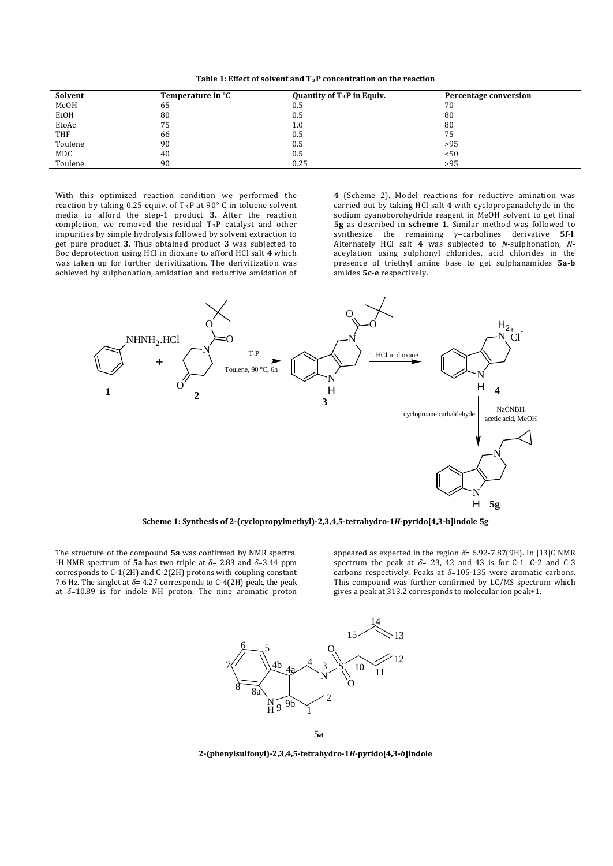**Table 1: Effect of solvent and T3 P concentration on the reaction**

| Solvent    | Temperature in °C | Quantity of $T_3P$ in Equiv. | Percentage conversion |
|------------|-------------------|------------------------------|-----------------------|
| MeOH       | ხა                | U.5                          | 70                    |
| EtOH       | 80                | 0.5                          | 80                    |
| EtoAc      | 75                | 1.0                          | 80                    |
| <b>THF</b> | 66                | 0.5                          | 75                    |
| Toulene    | 90                | 0.5                          | >95                   |
| MDC        | 40                | 0.5                          | < 50                  |
| Toulene    | 90                | 0.25                         | >95                   |

With this optimized reaction condition we performed the reaction by taking 0.25 equiv. of  $T_3P$  at 90° C in toluene solvent media to afford the step-1 product **3.** After the reaction completion, we removed the residual T3P catalyst and other impurities by simple hydrolysis followed by solvent extraction to get pure product **3**. Thus obtained product **3** was subjected to Boc deprotection using HCl in dioxane to afford HCl salt **4** which was taken up for further derivitization. The derivitization was achieved by sulphonation, amidation and reductive amidation of

**4** (Scheme 2). Model reactions for reductive amination was carried out by taking HCl salt **4** with cyclopropanadehyde in the sodium cyanoborohydride reagent in MeOH solvent to get final **5g** as described in **scheme 1.** Similar method was followed to synthesize the remaining γ‒carbolines derivative **5f-l**. Alternately HCl salt **4** was subjected to *N*-sulphonation, *N*aceylation using sulphonyl chlorides, acid chlorides in the presence of triethyl amine base to get sulphanamides **5a-b** amides **5c-e** respectively.



**Scheme 1: Synthesis of 2-(cyclopropylmethyl)-2,3,4,5-tetrahydro-1***H***-pyrido[4,3-b]indole 5g**

The structure of the compound **5a** was confirmed by NMR spectra. 1H NMR spectrum of **5a** has two triple at *δ*<sup>=</sup> 2.83 and *δ*=3.44 ppm corresponds to C-1(2H) and C-2(2H) protons with coupling constant 7.6 Hz. The singlet at  $\delta$ = 4.27 corresponds to C-4(2H) peak, the peak at *δ*=10.89 is for indole NH proton. The nine aromatic proton appeared as expected in the region *δ*= 6.92-7.87(9H). In [13]C NMR spectrum the peak at *δ*= 23, 42 and 43 is for C-1, C-2 and C-3 carbons respectively. Peaks at *δ*=105-135 were aromatic carbons. This compound was further confirmed by LC/MS spectrum which gives a peak at 313.2 corresponds to molecular ion peak+1.





**2-(phenylsulfonyl)-2,3,4,5-tetrahydro-1***H***-pyrido[4,3-***b***]indole**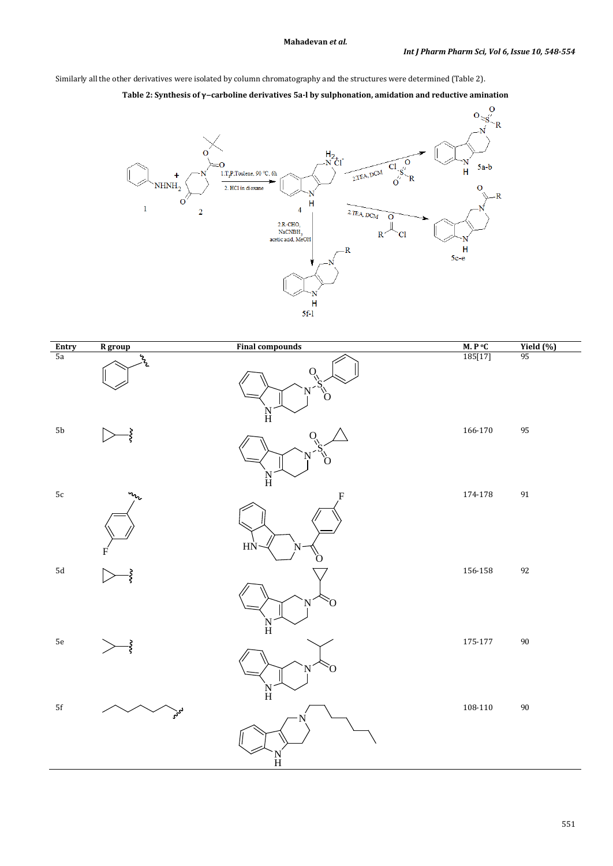Similarly all the other derivatives were isolated by column chromatography and the structures were determined (Table 2).





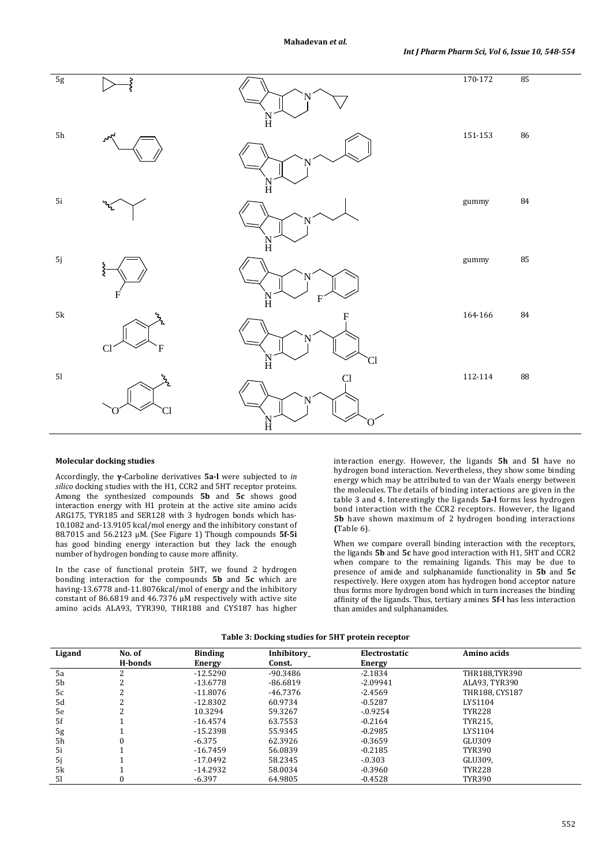

#### **Molecular docking studies**

Accordingly, the **γ-**Carboline derivatives **5a-l** were subjected to *in silico* docking studies with the H1, CCR2 and 5HT receptor proteins. Among the synthesized compounds **5b** and **5c** shows good interaction energy with H1 protein at the active site amino acids ARG175, TYR185 and SER128 with 3 hydrogen bonds which has-10.1082 and-13.9105 kcal/mol energy and the inhibitory constant of 88.7015 and 56.2123 µM. (See Figure 1) Though compounds **5f-5i** has good binding energy interaction but they lack the enough number of hydrogen bonding to cause more affinity.

In the case of functional protein 5HT, we found 2 hydrogen bonding interaction for the compounds **5b** and **5c** which are having-13.6778 and-11.8076kcal/mol of energy and the inhibitory constant of 86.6819 and 46.7376  $\upmu\text{M}$  respectively with active site amino acids ALA93, TYR390, THR188 and CYS187 has higher

interaction energy. However, the ligands **5h** and **5l** have no hydrogen bond interaction. Nevertheless, they show some binding energy which may be attributed to van der Waals energy between the molecules. The details of binding interactions are given in the table 3 and 4. Interestingly the ligands **5a-l** forms less hydrogen bond interaction with the CCR2 receptors. However, the ligand **5b** have shown maximum of 2 hydrogen bonding interactions **(**Table 6).

When we compare overall binding interaction with the receptors, the ligands **5b** and **5c** have good interaction with H1, 5HT and CCR2 when compare to the remaining ligands. This may be due to presence of amide and sulphanamide functionality in **5b** and **5c** respectively. Here oxygen atom has hydrogen bond acceptor nature thus forms more hydrogen bond which in turn increases the binding affinity of the ligands. Thus, tertiary amines **5f-l** has less interaction than amides and sulphanamides.

| Table 3: Docking studies for 5HT protein receptor |  |  |  |  |
|---------------------------------------------------|--|--|--|--|
|---------------------------------------------------|--|--|--|--|

| Ligand         | No. of  | <b>Binding</b> | Inhibitory | Electrostatic | Amino acids    |  |
|----------------|---------|----------------|------------|---------------|----------------|--|
|                | H-bonds | Energy         | Const.     | Energy        |                |  |
| 5a             |         | $-12.5290$     | -90.3486   | $-2.1834$     | THR188.TYR390  |  |
| 5 <sub>b</sub> |         | $-13.6778$     | $-86.6819$ | $-2.09941$    | ALA93. TYR390  |  |
| 5c             |         | $-11.8076$     | $-46.7376$ | $-2.4569$     | THR188, CYS187 |  |
| 5d             |         | $-12.8302$     | 60.9734    | $-0.5287$     | LYS1104        |  |
| 5e             |         | 10.3294        | 59.3267    | $-0.9254$     | <b>TYR228</b>  |  |
| 5f             |         | $-16.4574$     | 63.7553    | $-0.2164$     | TYR215,        |  |
| 5g             |         | $-15.2398$     | 55.9345    | $-0.2985$     | LYS1104        |  |
| 5h             |         | $-6.375$       | 62.3926    | $-0.3659$     | GLU309         |  |
| 5i             |         | $-16.7459$     | 56.0839    | $-0.2185$     | <b>TYR390</b>  |  |
| 5j             |         | $-17.0492$     | 58.2345    | $-.0.303$     | GLU309,        |  |
| 5k             |         | $-14.2932$     | 58.0034    | $-0.3960$     | <b>TYR228</b>  |  |
| 51             |         | $-6.397$       | 64.9805    | $-0.4528$     | <b>TYR390</b>  |  |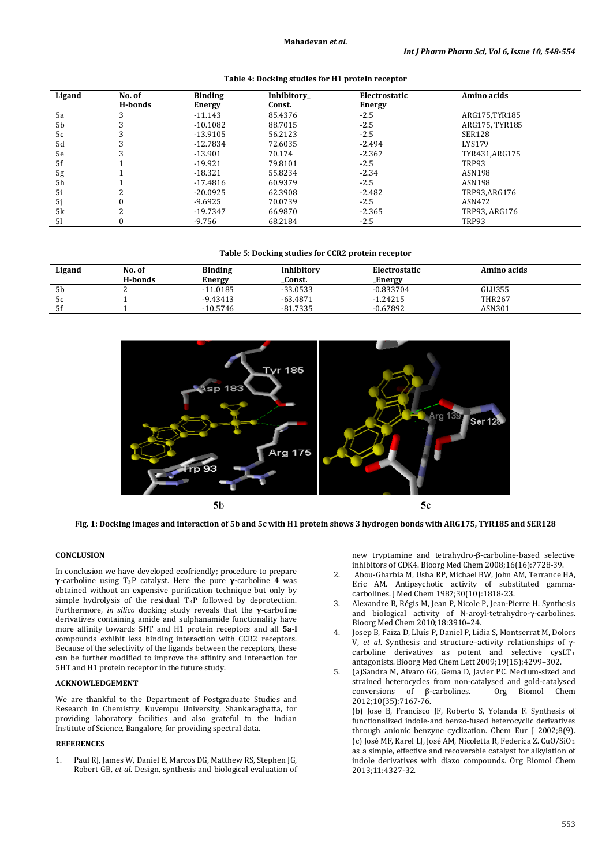| Ligand | No. of  | <b>Binding</b> | Inhibitory | Electrostatic | Amino acids    |
|--------|---------|----------------|------------|---------------|----------------|
|        | H-bonds | Energy         | Const.     | Energy        |                |
| 5a     |         | $-11.143$      | 85.4376    | $-2.5$        | ARG175.TYR185  |
| 5b     |         | $-10.1082$     | 88.7015    | $-2.5$        | ARG175. TYR185 |
| 5c     |         | $-13.9105$     | 56.2123    | $-2.5$        | SER128         |
| 5d     |         | $-12.7834$     | 72.6035    | $-2.494$      | <b>LYS179</b>  |
| 5e     |         | $-13.901$      | 70.174     | $-2.367$      | TYR431,ARG175  |
| 5f     |         | $-19.921$      | 79.8101    | $-2.5$        | TRP93          |
| 5g     |         | $-18.321$      | 55.8234    | $-2.34$       | ASN198         |
| 5h     |         | $-17.4816$     | 60.9379    | $-2.5$        | ASN198         |
| 5i     |         | $-20.0925$     | 62.3908    | $-2.482$      | TRP93.ARG176   |
| 5j     |         | $-9.6925$      | 70.0739    | $-2.5$        | ASN472         |
| 5k     |         | $-19.7347$     | 66.9870    | $-2.365$      | TRP93. ARG176  |
| 51     |         | -9.756         | 68.2184    | $-2.5$        | TRP93          |

## **Table 4: Docking studies for H1 protein receptor**

#### **Table 5: Docking studies for CCR2 protein receptor**

| Ligand         | No. of  | <b>Binding</b> | Inhibitory | Electrostatic  | Amino acids   |
|----------------|---------|----------------|------------|----------------|---------------|
|                | H-bonds | Energy         | Const.     | <b>_Energy</b> |               |
| 5 <sub>b</sub> | ∼       | $-11.0185$     | $-33.0533$ | $-0.833704$    | GLU355        |
| 5c             |         | $-9.43413$     | $-63.4871$ | $-1.24215$     | <b>THR267</b> |
| 5f             |         | $-10.5746$     | $-81.7335$ | $-0.67892$     | ASN301        |



**Fig. 1: Docking images and interaction of 5b and 5c with H1 protein shows 3 hydrogen bonds with ARG175, TYR185 and SER128**

#### **CONCLUSION**

In conclusion we have developed ecofriendly; procedure to prepare **γ-**carboline using T3P catalyst. Here the pure **γ-**carboline **4** was obtained without an expensive purification technique but only by  $\sup$  simple hydrolysis of the residual  $T_3$ P followed by deprotection. Furthermore, *in silico* docking study reveals that the **γ-**carboline derivatives containing amide and sulphanamide functionality have more affinity towards 5HT and H1 protein receptors and all **5a-l**  compounds exhibit less binding interaction with CCR2 receptors. Because of the selectivity of the ligands between the receptors, these can be further modified to improve the affinity and interaction for 5HT and H1 protein receptor in the future study.

## **ACKNOWLEDGEMENT**

We are thankful to the Department of Postgraduate Studies and Research in Chemistry, Kuvempu University, Shankaraghatta, for providing laboratory facilities and also grateful to the Indian Institute of Science, Bangalore, for providing spectral data.

## **REFERENCES**

1. [Paul RJ, James W, Daniel E, Marcos DG,](http://www.sciencedirect.com/science/article/pii/S0968089608006081) [Matthew RS, Stephen JG,](http://www.sciencedirect.com/science/article/pii/S0968089608006081)  [Robert GB,](http://www.sciencedirect.com/science/article/pii/S0968089608006081) *et al*. Design, synthesis and biological evaluation of new tryptamine and tetrahydro-β-carboline-based selective inhibitors of CDK4. Bioorg Med Chem [2008;16\(16\)](http://www.sciencedirect.com/science/journal/09680896/16/16):7728-39.

- 2. [Abou-Gharbia](http://pubs.acs.org/action/doSearch?action=search&author=Abou%5C-Gharbia%2C+Magid&qsSearchArea=author) M[, Usha RP,](http://pubs.acs.org/action/doSearch?action=search&author=Patel%2C+Usha+R.&qsSearchArea=author) [Michael BW,](http://pubs.acs.org/action/doSearch?action=search&author=Webb%2C+Michael+B.&qsSearchArea=author) [John AM,](http://pubs.acs.org/action/doSearch?action=search&author=Moyer%2C+John+A.&qsSearchArea=author) [Terrance HA,](http://pubs.acs.org/action/doSearch?action=search&author=Andree%2C+Terrance+H.&qsSearchArea=author)  [Eric AM.](http://pubs.acs.org/action/doSearch?action=search&author=Muth%2C+Eric+A.&qsSearchArea=author) Antipsychotic activity of substituted gammacarbolines. J Med Chem 1987;30 (10):1818-23.
- 3. Alexandre B, Régis M, Jean P, Nicole P, Jean-Pierre H. Synthesis and biological activity of N-aroyl-tetrahydro-γ-carbolines. Bioorg Med Chem 2010;18:3910–24.
- 4. [Josep B, Faïza D, Lluís P, Daniel P, Lidia S, Montserrat M, Dolors](http://www.sciencedirect.com/science/article/pii/S0960894X09007689)  [V,](http://www.sciencedirect.com/science/article/pii/S0960894X09007689) *et al*. Synthesis and structure–activity relationships of γcarboline derivatives as potent and selective  $cysLT_1$ antagonists. Bioorg Med Chem Lett 200[9;19\(15\)](http://www.sciencedirect.com/science/journal/0960894X/19/15):4299–302.
- 5. (a[\)Sandra M,](https://www.researchgate.net/researcher/82136974_Sandra_Medina) [Alvaro GG,](https://www.researchgate.net/researcher/80631990_Alvaro_Gonzalez-Gomez) [Gema D,](https://www.researchgate.net/researcher/39220796_Gema_Dominguez) [Javier PC.](https://www.researchgate.net/researcher/10612000_Javier_Perez-Castells) [Medium-sized and](https://www.researchgate.net/publication/230592181_Medium-sized_and_strained_heterocycles_from_non-catalysed_and_gold-catalysed_conversions_of_-carbolines?ev=pub_cit_inc)  strained heterocycles from non-catalysed and gold-catalysed<br>conversions of B-carbolines. Org Biomol Chem [conversions of β](https://www.researchgate.net/publication/230592181_Medium-sized_and_strained_heterocycles_from_non-catalysed_and_gold-catalysed_conversions_of_-carbolines?ev=pub_cit_inc)-carbolines. 2012;10(35):7167-76.
	- (b) Jose B, Francisco JF, Roberto S, Yolanda F. Synthesis of functionalized indole-and benzo-fused heterocyclic derivatives through anionic benzyne cyclization. Chem Eur J 2002;8(9). (c) [José MF,](http://pubs.rsc.org/en/results?searchtext=Author%3AJos%C3%A9%20M.%20Fraile) [Karel LJ,](http://pubs.rsc.org/en/results?searchtext=Author%3AKarel%20Le%20Jeune) [José AM,](http://pubs.rsc.org/en/results?searchtext=Author%3AJos%C3%A9%20A.%20Mayoral) [Nicoletta R,](http://pubs.rsc.org/en/results?searchtext=Author%3ANicoletta%20Ravasio) [Federica Z.](http://pubs.rsc.org/en/results?searchtext=Author%3AFederica%20Zaccheria) CuO/SiO2 as a simple, effective and recoverable catalyst for alkylation of indole derivatives with diazo compounds. Org Biomol Chem 2013;11:4327-32.